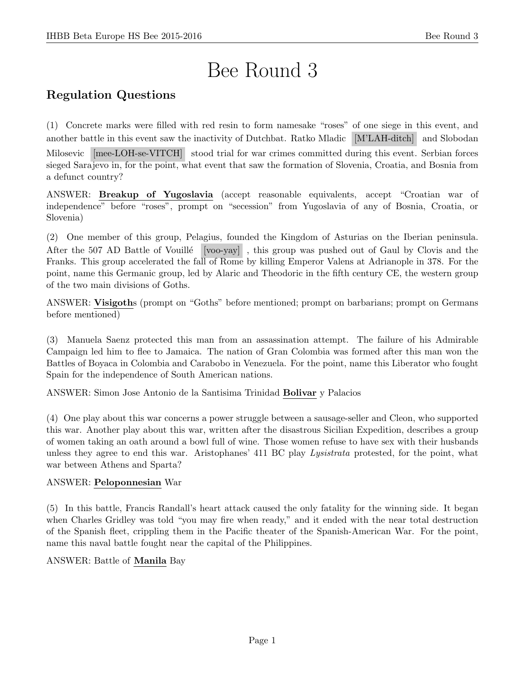# Bee Round 3

## Regulation Questions

(1) Concrete marks were filled with red resin to form namesake "roses" of one siege in this event, and another battle in this event saw the inactivity of Dutchbat. Ratko Mladic [M'LAH-ditch] and Slobodan

Milosevic [mee-LOH-se-VITCH] stood trial for war crimes committed during this event. Serbian forces sieged Sarajevo in, for the point, what event that saw the formation of Slovenia, Croatia, and Bosnia from a defunct country?

ANSWER: Breakup of Yugoslavia (accept reasonable equivalents, accept "Croatian war of independence" before "roses", prompt on "secession" from Yugoslavia of any of Bosnia, Croatia, or Slovenia)

(2) One member of this group, Pelagius, founded the Kingdom of Asturias on the Iberian peninsula. After the 507 AD Battle of Vouillé [voo-yay], this group was pushed out of Gaul by Clovis and the Franks. This group accelerated the fall of Rome by killing Emperor Valens at Adrianople in 378. For the point, name this Germanic group, led by Alaric and Theodoric in the fifth century CE, the western group of the two main divisions of Goths.

ANSWER: Visigoths (prompt on "Goths" before mentioned; prompt on barbarians; prompt on Germans before mentioned)

(3) Manuela Saenz protected this man from an assassination attempt. The failure of his Admirable Campaign led him to flee to Jamaica. The nation of Gran Colombia was formed after this man won the Battles of Boyaca in Colombia and Carabobo in Venezuela. For the point, name this Liberator who fought Spain for the independence of South American nations.

ANSWER: Simon Jose Antonio de la Santisima Trinidad Bolivar y Palacios

(4) One play about this war concerns a power struggle between a sausage-seller and Cleon, who supported this war. Another play about this war, written after the disastrous Sicilian Expedition, describes a group of women taking an oath around a bowl full of wine. Those women refuse to have sex with their husbands unless they agree to end this war. Aristophanes' 411 BC play Lysistrata protested, for the point, what war between Athens and Sparta?

#### ANSWER: Peloponnesian War

(5) In this battle, Francis Randall's heart attack caused the only fatality for the winning side. It began when Charles Gridley was told "you may fire when ready," and it ended with the near total destruction of the Spanish fleet, crippling them in the Pacific theater of the Spanish-American War. For the point, name this naval battle fought near the capital of the Philippines.

#### ANSWER: Battle of Manila Bay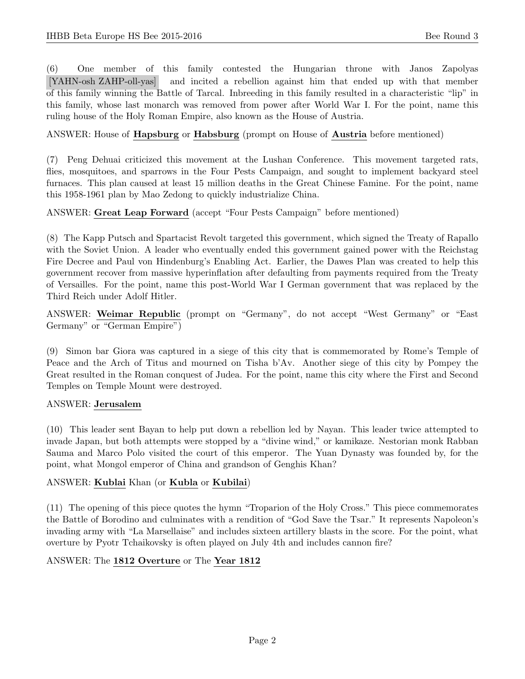(6) One member of this family contested the Hungarian throne with Janos Zapolyas [YAHN-osh ZAHP-oll-yas] and incited a rebellion against him that ended up with that member of this family winning the Battle of Tarcal. Inbreeding in this family resulted in a characteristic "lip" in this family, whose last monarch was removed from power after World War I. For the point, name this ruling house of the Holy Roman Empire, also known as the House of Austria.

#### ANSWER: House of Hapsburg or Habsburg (prompt on House of Austria before mentioned)

(7) Peng Dehuai criticized this movement at the Lushan Conference. This movement targeted rats, flies, mosquitoes, and sparrows in the Four Pests Campaign, and sought to implement backyard steel furnaces. This plan caused at least 15 million deaths in the Great Chinese Famine. For the point, name this 1958-1961 plan by Mao Zedong to quickly industrialize China.

ANSWER: Great Leap Forward (accept "Four Pests Campaign" before mentioned)

(8) The Kapp Putsch and Spartacist Revolt targeted this government, which signed the Treaty of Rapallo with the Soviet Union. A leader who eventually ended this government gained power with the Reichstag Fire Decree and Paul von Hindenburg's Enabling Act. Earlier, the Dawes Plan was created to help this government recover from massive hyperinflation after defaulting from payments required from the Treaty of Versailles. For the point, name this post-World War I German government that was replaced by the Third Reich under Adolf Hitler.

ANSWER: Weimar Republic (prompt on "Germany", do not accept "West Germany" or "East Germany" or "German Empire")

(9) Simon bar Giora was captured in a siege of this city that is commemorated by Rome's Temple of Peace and the Arch of Titus and mourned on Tisha b'Av. Another siege of this city by Pompey the Great resulted in the Roman conquest of Judea. For the point, name this city where the First and Second Temples on Temple Mount were destroyed.

#### ANSWER: Jerusalem

(10) This leader sent Bayan to help put down a rebellion led by Nayan. This leader twice attempted to invade Japan, but both attempts were stopped by a "divine wind," or kamikaze. Nestorian monk Rabban Sauma and Marco Polo visited the court of this emperor. The Yuan Dynasty was founded by, for the point, what Mongol emperor of China and grandson of Genghis Khan?

#### ANSWER: Kublai Khan (or Kubla or Kubilai)

(11) The opening of this piece quotes the hymn "Troparion of the Holy Cross." This piece commemorates the Battle of Borodino and culminates with a rendition of "God Save the Tsar." It represents Napoleon's invading army with "La Marsellaise" and includes sixteen artillery blasts in the score. For the point, what overture by Pyotr Tchaikovsky is often played on July 4th and includes cannon fire?

#### ANSWER: The 1812 Overture or The Year 1812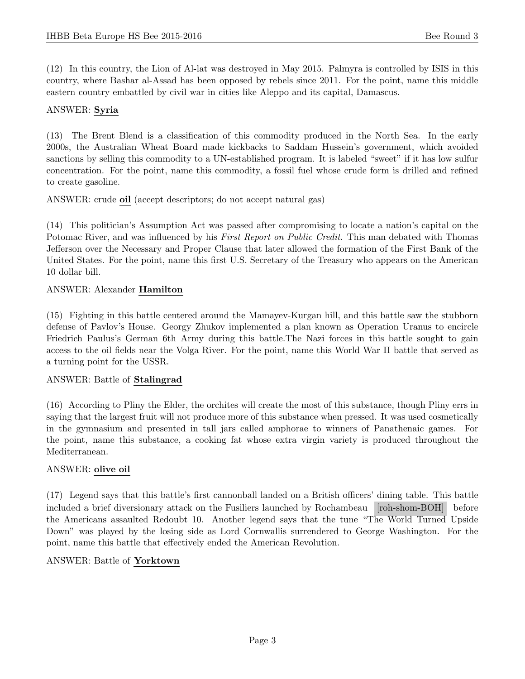(12) In this country, the Lion of Al-lat was destroyed in May 2015. Palmyra is controlled by ISIS in this country, where Bashar al-Assad has been opposed by rebels since 2011. For the point, name this middle eastern country embattled by civil war in cities like Aleppo and its capital, Damascus.

#### ANSWER: Syria

(13) The Brent Blend is a classification of this commodity produced in the North Sea. In the early 2000s, the Australian Wheat Board made kickbacks to Saddam Hussein's government, which avoided sanctions by selling this commodity to a UN-established program. It is labeled "sweet" if it has low sulfur concentration. For the point, name this commodity, a fossil fuel whose crude form is drilled and refined to create gasoline.

ANSWER: crude oil (accept descriptors; do not accept natural gas)

(14) This politician's Assumption Act was passed after compromising to locate a nation's capital on the Potomac River, and was influenced by his First Report on Public Credit. This man debated with Thomas Jefferson over the Necessary and Proper Clause that later allowed the formation of the First Bank of the United States. For the point, name this first U.S. Secretary of the Treasury who appears on the American 10 dollar bill.

#### ANSWER: Alexander Hamilton

(15) Fighting in this battle centered around the Mamayev-Kurgan hill, and this battle saw the stubborn defense of Pavlov's House. Georgy Zhukov implemented a plan known as Operation Uranus to encircle Friedrich Paulus's German 6th Army during this battle.The Nazi forces in this battle sought to gain access to the oil fields near the Volga River. For the point, name this World War II battle that served as a turning point for the USSR.

#### ANSWER: Battle of Stalingrad

(16) According to Pliny the Elder, the orchites will create the most of this substance, though Pliny errs in saying that the largest fruit will not produce more of this substance when pressed. It was used cosmetically in the gymnasium and presented in tall jars called amphorae to winners of Panathenaic games. For the point, name this substance, a cooking fat whose extra virgin variety is produced throughout the Mediterranean.

#### ANSWER: olive oil

(17) Legend says that this battle's first cannonball landed on a British officers' dining table. This battle included a brief diversionary attack on the Fusiliers launched by Rochambeau [roh-shom-BOH] before the Americans assaulted Redoubt 10. Another legend says that the tune "The World Turned Upside Down" was played by the losing side as Lord Cornwallis surrendered to George Washington. For the point, name this battle that effectively ended the American Revolution.

#### ANSWER: Battle of Yorktown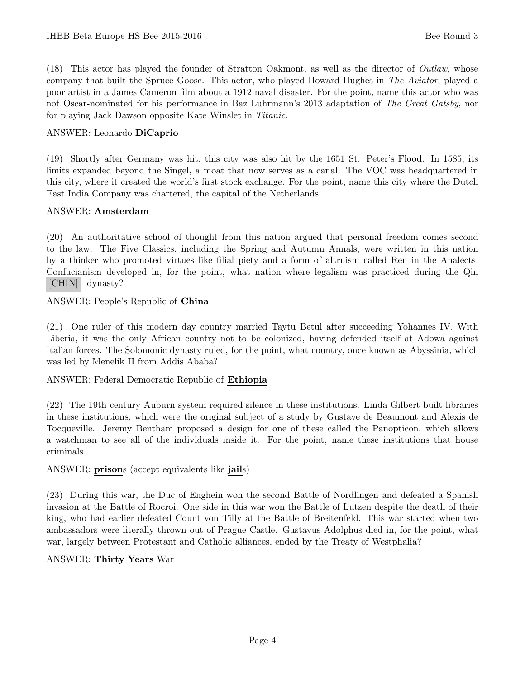(18) This actor has played the founder of Stratton Oakmont, as well as the director of Outlaw, whose company that built the Spruce Goose. This actor, who played Howard Hughes in The Aviator, played a poor artist in a James Cameron film about a 1912 naval disaster. For the point, name this actor who was not Oscar-nominated for his performance in Baz Luhrmann's 2013 adaptation of The Great Gatsby, nor for playing Jack Dawson opposite Kate Winslet in Titanic.

#### ANSWER: Leonardo DiCaprio

(19) Shortly after Germany was hit, this city was also hit by the 1651 St. Peter's Flood. In 1585, its limits expanded beyond the Singel, a moat that now serves as a canal. The VOC was headquartered in this city, where it created the world's first stock exchange. For the point, name this city where the Dutch East India Company was chartered, the capital of the Netherlands.

#### ANSWER: Amsterdam

(20) An authoritative school of thought from this nation argued that personal freedom comes second to the law. The Five Classics, including the Spring and Autumn Annals, were written in this nation by a thinker who promoted virtues like filial piety and a form of altruism called Ren in the Analects. Confucianism developed in, for the point, what nation where legalism was practiced during the Qin [CHIN] dynasty?

ANSWER: People's Republic of China

(21) One ruler of this modern day country married Taytu Betul after succeeding Yohannes IV. With Liberia, it was the only African country not to be colonized, having defended itself at Adowa against Italian forces. The Solomonic dynasty ruled, for the point, what country, once known as Abyssinia, which was led by Menelik II from Addis Ababa?

ANSWER: Federal Democratic Republic of Ethiopia

(22) The 19th century Auburn system required silence in these institutions. Linda Gilbert built libraries in these institutions, which were the original subject of a study by Gustave de Beaumont and Alexis de Tocqueville. Jeremy Bentham proposed a design for one of these called the Panopticon, which allows a watchman to see all of the individuals inside it. For the point, name these institutions that house criminals.

ANSWER: prisons (accept equivalents like jails)

(23) During this war, the Duc of Enghein won the second Battle of Nordlingen and defeated a Spanish invasion at the Battle of Rocroi. One side in this war won the Battle of Lutzen despite the death of their king, who had earlier defeated Count von Tilly at the Battle of Breitenfeld. This war started when two ambassadors were literally thrown out of Prague Castle. Gustavus Adolphus died in, for the point, what war, largely between Protestant and Catholic alliances, ended by the Treaty of Westphalia?

#### ANSWER: Thirty Years War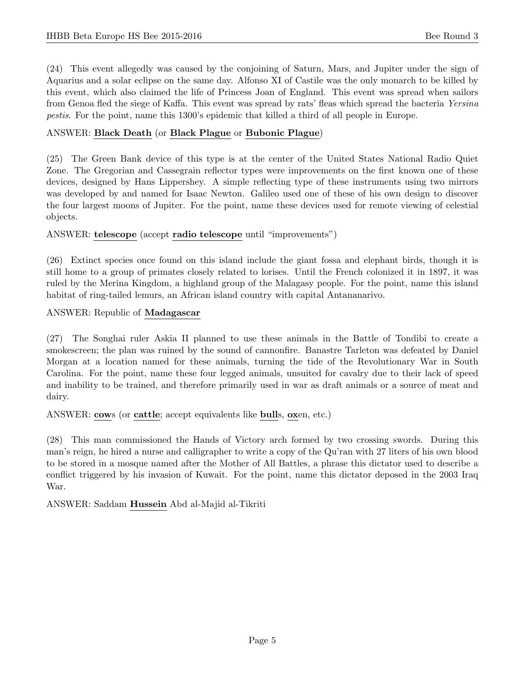(24) This event allegedly was caused by the conjoining of Saturn, Mars, and Jupiter under the sign of Aquarius and a solar eclipse on the same day. Alfonso XI of Castile was the only monarch to be killed by this event, which also claimed the life of Princess Joan of England. This event was spread when sailors from Genoa fled the siege of Kaffa. This event was spread by rats' fleas which spread the bacteria Yersina pestis. For the point, name this 1300's epidemic that killed a third of all people in Europe.

#### ANSWER: Black Death (or Black Plague or Bubonic Plague)

(25) The Green Bank device of this type is at the center of the United States National Radio Quiet Zone. The Gregorian and Cassegrain reflector types were improvements on the first known one of these devices, designed by Hans Lippershey. A simple reflecting type of these instruments using two mirrors was developed by and named for Isaac Newton. Galileo used one of these of his own design to discover the four largest moons of Jupiter. For the point, name these devices used for remote viewing of celestial objects.

#### ANSWER: telescope (accept radio telescope until "improvements")

(26) Extinct species once found on this island include the giant fossa and elephant birds, though it is still home to a group of primates closely related to lorises. Until the French colonized it in 1897, it was ruled by the Merina Kingdom, a highland group of the Malagasy people. For the point, name this island habitat of ring-tailed lemurs, an African island country with capital Antananarivo.

ANSWER: Republic of Madagascar

(27) The Songhai ruler Askia II planned to use these animals in the Battle of Tondibi to create a smokescreen; the plan was ruined by the sound of cannonfire. Banastre Tarleton was defeated by Daniel Morgan at a location named for these animals, turning the tide of the Revolutionary War in South Carolina. For the point, name these four legged animals, unsuited for cavalry due to their lack of speed and inability to be trained, and therefore primarily used in war as draft animals or a source of meat and dairy.

ANSWER: cows (or cattle; accept equivalents like bulls, oxen, etc.)

(28) This man commissioned the Hands of Victory arch formed by two crossing swords. During this man's reign, he hired a nurse and calligrapher to write a copy of the Qu'ran with 27 liters of his own blood to be stored in a mosque named after the Mother of All Battles, a phrase this dictator used to describe a conflict triggered by his invasion of Kuwait. For the point, name this dictator deposed in the 2003 Iraq War.

ANSWER: Saddam Hussein Abd al-Majid al-Tikriti